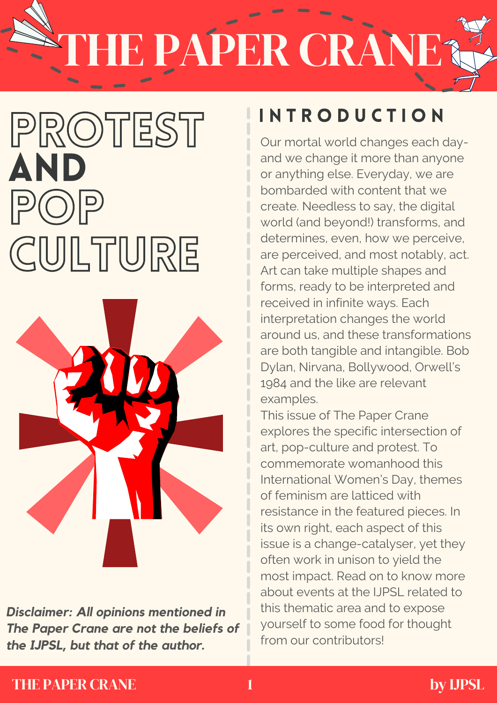## E PAPER CRANE

### PROTEST AND  $|P(O)|P$ CULTURE



*Disclaimer: All opinions mentioned in The Paper Crane are not the beliefs of the IJPSL, but that of the author.*

### I N T R O D U C T I O N

Our mortal world changes each dayand we change it more than anyone or anything else. Everyday, we are bombarded with content that we create. Needless to say, the digital world (and beyond!) transforms, and determines, even, how we perceive, are perceived, and most notably, act. Art can take multiple shapes and forms, ready to be interpreted and received in infinite ways. Each interpretation changes the world around us, and these transformations are both tangible and intangible. Bob Dylan, Nirvana, Bollywood, Orwell's 1984 and the like are relevant examples.

This issue of The Paper Crane explores the specific intersection of art, pop-culture and protest. To commemorate womanhood this International Women's Day, themes of feminism are latticed with resistance in the featured pieces. In its own right, each aspect of this issue is a change-catalyser, yet they often work in unison to yield the most impact. Read on to know more about events at the IJPSL related to this thematic area and to expose yourself to some food for thought from our contributors!

#### THE PAPER CRANE 1 by UPSL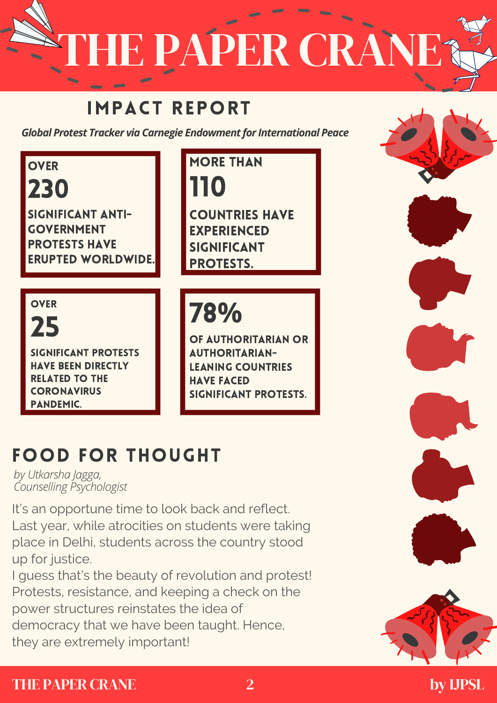E PAPER CRANI

#### IMPACT REPORT

*Global Protest Tracker via Carnegie Endowment for International Peace*

**OVER** 230 SIGNIFICANT ANTI-GOVERNMENT PROTESTS HAVE ERUPTED WORLDWIDE. **MORE THAN** 110 COUNTRIES HAVE EXPERIENCED SIGNIFICANT PROTESTS. 78**%** OF AUTHORITARIAN OR AUTHORITARIAN-LEANING COUNTRIES HAVE FACED SIGNIFICANT PROTESTS. **OVER** 25 SIGNIFICANT PROTESTS HAVE BEEN DIRECTLY RELATED TO THE **CORONAVIRUS** PANDEMIC.

### FOOD FOR THOUGHT

*by Utkarsha Jagga, Counselling Psychologist*

It's an opportune time to look back and reflect. Last year, while atrocities on students were taking place in Delhi, students across the country stood up for justice.

I guess that's the beauty of revolution and protest! Protests, resistance, and keeping a check on the power structures reinstates the idea of democracy that we have been taught. Hence, they are extremely important!

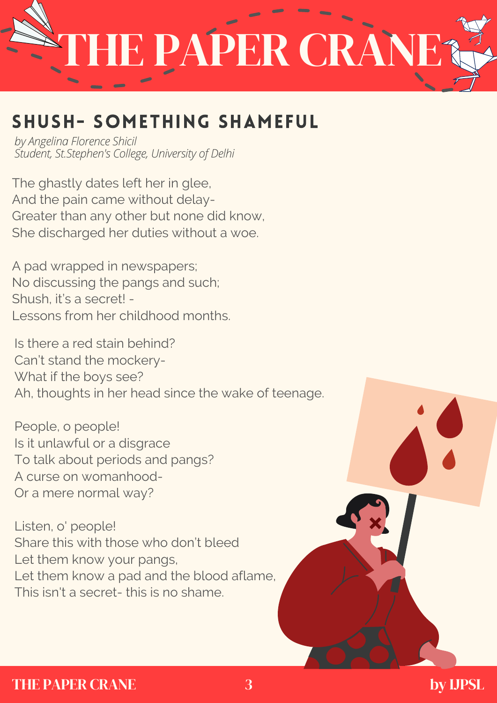

#### SHUSH- SOMETHING SHAMEFUL

*by Angelina Florence Shicil Student, St.Stephen's College, University of Delhi*

The ghastly dates left her in glee, And the pain came without delay-Greater than any other but none did know, She discharged her duties without a woe.

A pad wrapped in newspapers; No discussing the pangs and such; Shush, it's a secret! - Lessons from her childhood months.

Is there a red stain behind? Can't stand the mockery- What if the boys see? Ah, thoughts in her head since the wake of teenage.

People, o people! Is it unlawful or a disgrace To talk about periods and pangs? A curse on womanhood-Or a mere normal way?

Listen, o' people! Share this with those who don't bleed Let them know your pangs, Let them know a pad and the blood aflame, This isn't a secret- this is no shame.

#### THE PAPER CRANE 3 by UPSL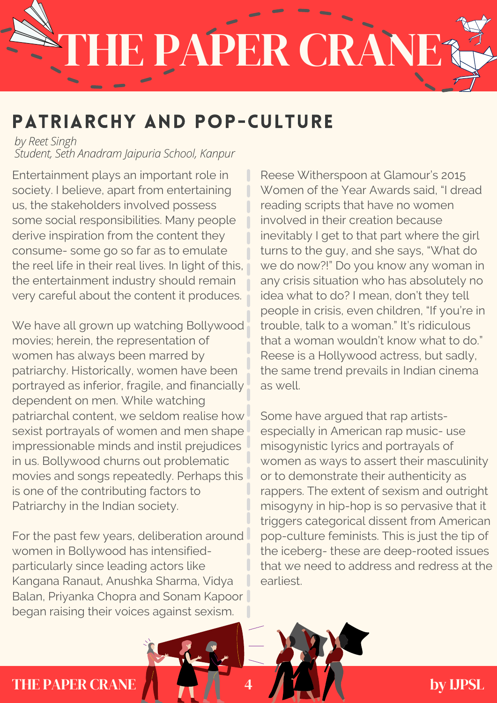# E PAPER CRAN

#### PATRIARCHY AND POP-CULTURE

*by Reet Singh Student, Seth Anadram Jaipuria School, Kanpur*

Entertainment plays an important role in society. I believe, apart from entertaining us, the stakeholders involved possess some social responsibilities. Many people derive inspiration from the content they consume- some go so far as to emulate the reel life in their real lives. In light of this, the entertainment industry should remain very careful about the content it produces.

We have all grown up watching Bollywood movies; herein, the representation of women has always been marred by patriarchy. Historically, women have been portrayed as inferior, fragile, and financially dependent on men. While watching patriarchal content, we seldom realise how sexist portrayals of women and men shape impressionable minds and instil prejudices in us. Bollywood churns out problematic movies and songs repeatedly. Perhaps this is one of the contributing factors to Patriarchy in the Indian society.

For the past few years, deliberation around women in Bollywood has intensifiedparticularly since leading actors like Kangana Ranaut, Anushka Sharma, Vidya Balan, Priyanka Chopra and Sonam Kapoor began raising their voices against sexism.

Reese Witherspoon at Glamour's 2015 Women of the Year Awards said, "I dread reading scripts that have no women involved in their creation because inevitably I get to that part where the girl turns to the guy, and she says, "What do we do now?!" Do you know any woman in any crisis situation who has absolutely no idea what to do? I mean, don't they tell people in crisis, even children, "If you're in trouble, talk to a woman." It's ridiculous that a woman wouldn't know what to do." Reese is a Hollywood actress, but sadly, the same trend prevails in Indian cinema as well.

Some have argued that rap artistsespecially in American rap music- use misogynistic lyrics and portrayals of women as ways to assert their masculinity or to demonstrate their authenticity as rappers. The extent of sexism and outright misogyny in hip-hop is so pervasive that it triggers categorical dissent from American pop-culture feminists. This is just the tip of the iceberg- these are deep-rooted issues that we need to address and redress at the earliest.

#### THE PAPER CRANE **A 1 by IJPSL**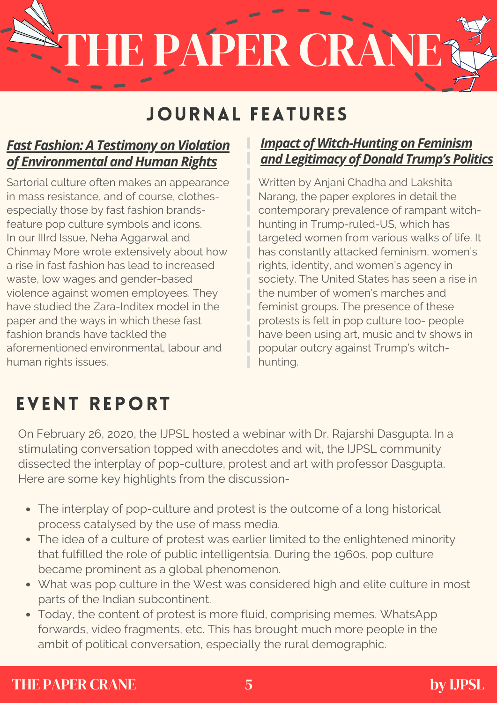# E PAPER CRÀN

#### JOURNAL FEATURES

#### *Fast Fashion: A [Testimony](http://ijpsl.in/wp-content/uploads/2021/03/Fast-Fashion-A-Testimony-of-Violation-of-Environmental-and-Human-Rights_Neha-Aggarwal-Chinmay-More.pdf) on Violation [of](http://ijpsl.in/wp-content/uploads/2021/03/Fast-Fashion-A-Testimony-of-Violation-of-Environmental-and-Human-Rights_Neha-Aggarwal-Chinmay-More.pdf) [Environmental](http://ijpsl.in/wp-content/uploads/2021/03/Fast-Fashion-A-Testimony-of-Violation-of-Environmental-and-Human-Rights_Neha-Aggarwal-Chinmay-More.pdf) and Human Rights*

Sartorial culture often makes an appearance in mass resistance, and of course, clothesespecially those by fast fashion brandsfeature pop culture symbols and icons. In our IIIrd Issue, Neha Aggarwal and Chinmay More wrote extensively about how a rise in fast fashion has lead to increased waste, low wages and gender-based violence against women employees. They have studied the Zara-Inditex model in the paper and the ways in which these fast fashion brands have tackled the aforementioned environmental, labour and human rights issues.

#### *Impact of [Witch-Hunting](http://ijpsl.in/wp-content/uploads/2021/02/Impact-of-Witch-Hunting-on-Feminism-and-Legitimacy-of-Donald-Trumps-Politics_Anjani-Chadha-Lakshita-Narang.pdf) on Feminism* **and [Legitimacy](http://ijpsl.in/wp-content/uploads/2021/02/Impact-of-Witch-Hunting-on-Feminism-and-Legitimacy-of-Donald-Trumps-Politics_Anjani-Chadha-Lakshita-Narang.pdf) of Donald Trump's Politics**

Written by Anjani Chadha and Lakshita Narang, the paper explores in detail the contemporary prevalence of rampant witchhunting in Trump-ruled-US, which has targeted women from various walks of life. It has constantly attacked feminism, women's rights, identity, and women's agency in society. The United States has seen a rise in the number of women's marches and feminist groups. The presence of these protests is felt in pop culture too- people have been using art, music and tv shows in popular outcry against Trump's witchhunting.

#### EVENT REPORT

On February 26, 2020, the IJPSL hosted a webinar with Dr. Rajarshi Dasgupta. In a stimulating conversation topped with anecdotes and wit, the IJPSL community dissected the interplay of pop-culture, protest and art with professor Dasgupta. Here are some key highlights from the discussion-

- The interplay of pop-culture and protest is the outcome of a long historical process catalysed by the use of mass media.
- The idea of a culture of protest was earlier limited to the enlightened minority that fulfilled the role of public intelligentsia. During the 1960s, pop culture became prominent as a global phenomenon.
- What was pop culture in the West was considered high and elite culture in most parts of the Indian subcontinent.
- Today, the content of protest is more fluid, comprising memes, WhatsApp forwards, video fragments, etc. This has brought much more people in the ambit of political conversation, especially the rural demographic.